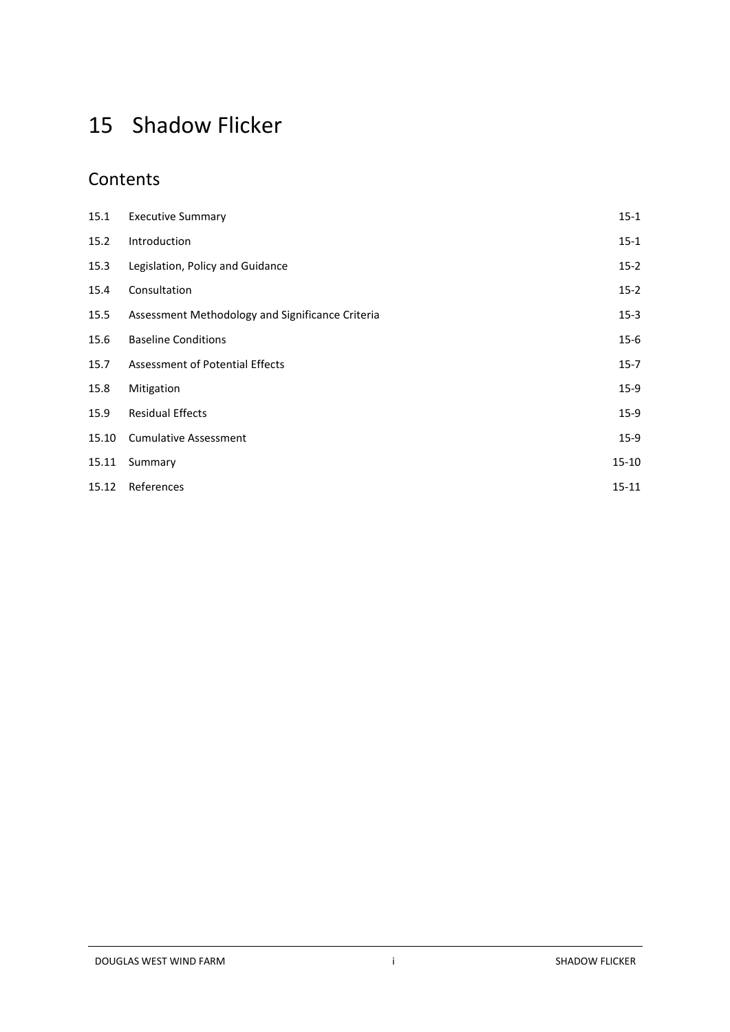# 15 Shadow Flicker

# **Contents**

| 15.1  | <b>Executive Summary</b>                         | $15-1$    |
|-------|--------------------------------------------------|-----------|
| 15.2  | Introduction                                     | $15 - 1$  |
| 15.3  | Legislation, Policy and Guidance                 | $15-2$    |
| 15.4  | Consultation                                     | $15 - 2$  |
| 15.5  | Assessment Methodology and Significance Criteria | $15-3$    |
| 15.6  | <b>Baseline Conditions</b>                       | $15 - 6$  |
| 15.7  | Assessment of Potential Effects                  | $15 - 7$  |
| 15.8  | Mitigation                                       | $15-9$    |
| 15.9  | <b>Residual Effects</b>                          | $15-9$    |
| 15.10 | <b>Cumulative Assessment</b>                     | $15-9$    |
| 15.11 | Summary                                          | $15 - 10$ |
| 15.12 | References                                       | $15 - 11$ |
|       |                                                  |           |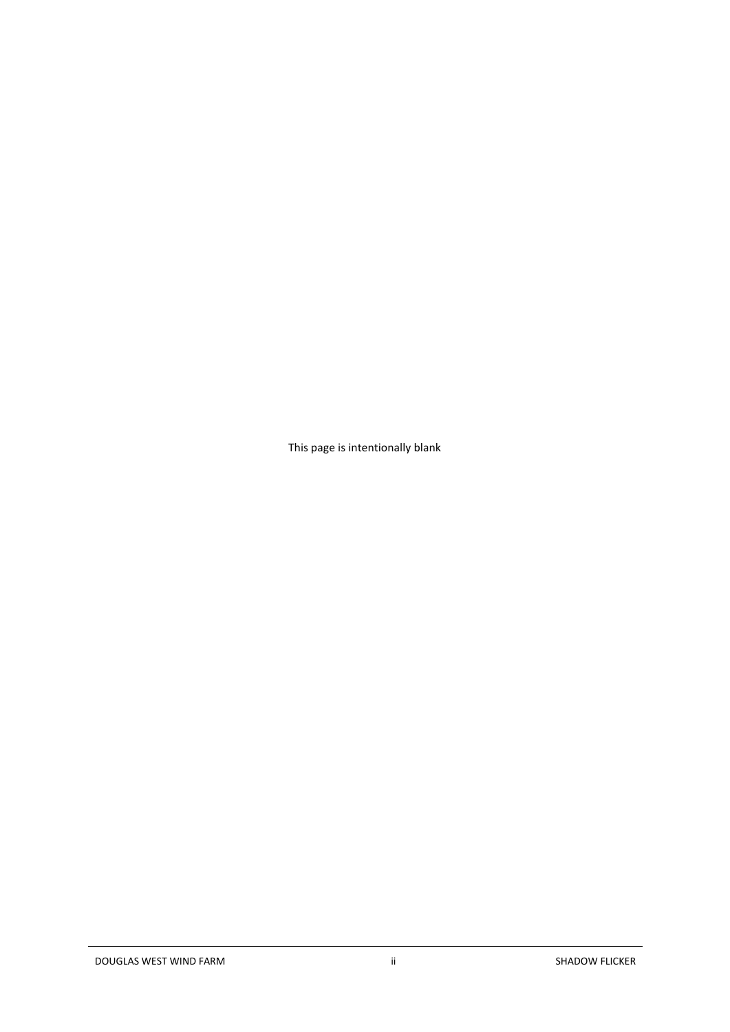This page is intentionally blank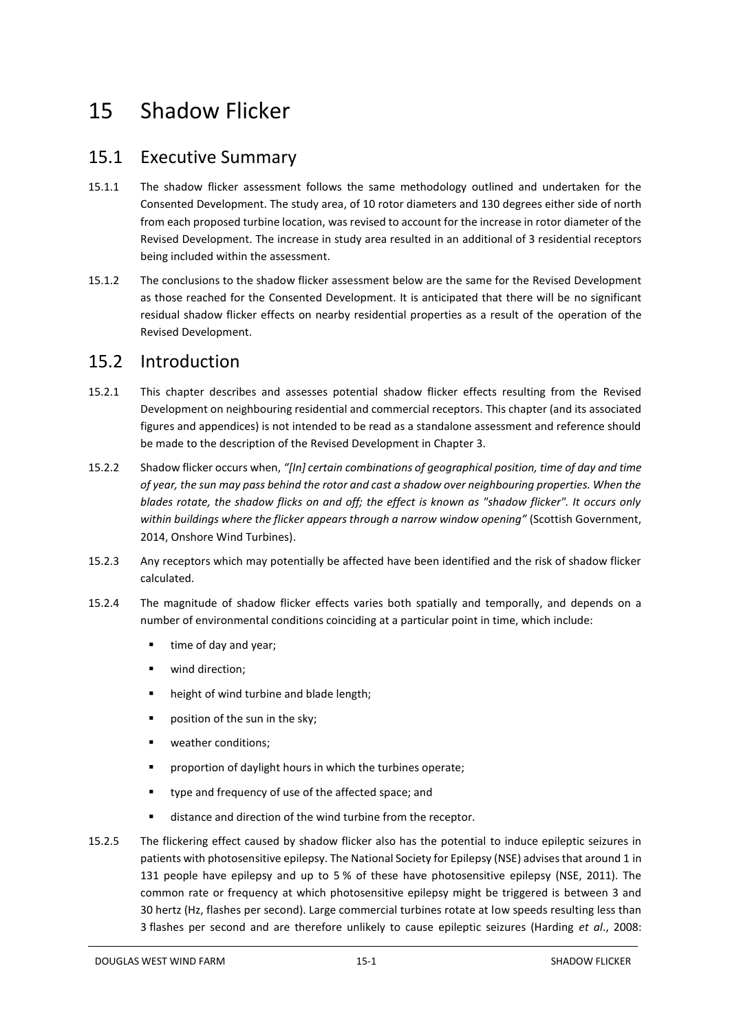# 15 Shadow Flicker

## <span id="page-2-0"></span>15.1 Executive Summary

- 15.1.1 The shadow flicker assessment follows the same methodology outlined and undertaken for the Consented Development. The study area, of 10 rotor diameters and 130 degrees either side of north from each proposed turbine location, was revised to account for the increase in rotor diameter of the Revised Development. The increase in study area resulted in an additional of 3 residential receptors being included within the assessment.
- 15.1.2 The conclusions to the shadow flicker assessment below are the same for the Revised Development as those reached for the Consented Development. It is anticipated that there will be no significant residual shadow flicker effects on nearby residential properties as a result of the operation of the Revised Development.

### <span id="page-2-1"></span>15.2 Introduction

- 15.2.1 This chapter describes and assesses potential shadow flicker effects resulting from the Revised Development on neighbouring residential and commercial receptors. This chapter (and its associated figures and appendices) is not intended to be read as a standalone assessment and reference should be made to the description of the Revised Development in Chapter 3.
- 15.2.2 Shadow flicker occurs when, *"[In] certain combinations of geographical position, time of day and time of year, the sun may pass behind the rotor and cast a shadow over neighbouring properties. When the blades rotate, the shadow flicks on and off; the effect is known as "shadow flicker". It occurs only within buildings where the flicker appears through a narrow window opening"* (Scottish Government, 2014, Onshore Wind Turbines).
- 15.2.3 Any receptors which may potentially be affected have been identified and the risk of shadow flicker calculated.
- 15.2.4 The magnitude of shadow flicker effects varies both spatially and temporally, and depends on a number of environmental conditions coinciding at a particular point in time, which include:
	- $\blacksquare$  time of day and year;
	- **•** wind direction;
	- height of wind turbine and blade length;
	- **prosition of the sun in the sky:**
	- **•** weather conditions;
	- **Phonoportion of daylight hours in which the turbines operate;**
	- type and frequency of use of the affected space; and
	- distance and direction of the wind turbine from the receptor.
- 15.2.5 The flickering effect caused by shadow flicker also has the potential to induce epileptic seizures in patients with photosensitive epilepsy. The National Society for Epilepsy (NSE) advises that around 1 in 131 people have epilepsy and up to 5 % of these have photosensitive epilepsy (NSE, 2011). The common rate or frequency at which photosensitive epilepsy might be triggered is between 3 and 30 hertz (Hz, flashes per second). Large commercial turbines rotate at low speeds resulting less than 3 flashes per second and are therefore unlikely to cause epileptic seizures (Harding *et al*., 2008: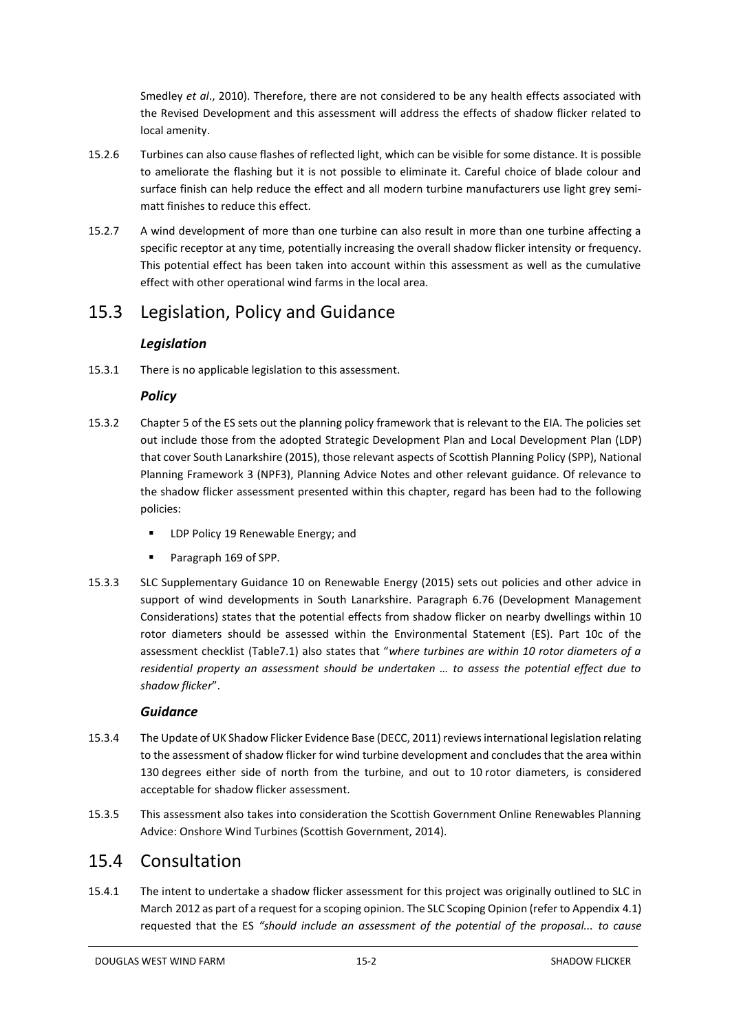Smedley *et al*., 2010). Therefore, there are not considered to be any health effects associated with the Revised Development and this assessment will address the effects of shadow flicker related to local amenity.

- 15.2.6 Turbines can also cause flashes of reflected light, which can be visible for some distance. It is possible to ameliorate the flashing but it is not possible to eliminate it. Careful choice of blade colour and surface finish can help reduce the effect and all modern turbine manufacturers use light grey semimatt finishes to reduce this effect.
- 15.2.7 A wind development of more than one turbine can also result in more than one turbine affecting a specific receptor at any time, potentially increasing the overall shadow flicker intensity or frequency. This potential effect has been taken into account within this assessment as well as the cumulative effect with other operational wind farms in the local area.

# <span id="page-3-0"></span>15.3 Legislation, Policy and Guidance

### *Legislation*

15.3.1 There is no applicable legislation to this assessment.

### *Policy*

- 15.3.2 Chapter 5 of the ES sets out the planning policy framework that is relevant to the EIA. The policies set out include those from the adopted Strategic Development Plan and Local Development Plan (LDP) that cover South Lanarkshire (2015), those relevant aspects of Scottish Planning Policy (SPP), National Planning Framework 3 (NPF3), Planning Advice Notes and other relevant guidance. Of relevance to the shadow flicker assessment presented within this chapter, regard has been had to the following policies:
	- LDP Policy 19 Renewable Energy; and
	- Paragraph 169 of SPP.
- 15.3.3 SLC Supplementary Guidance 10 on Renewable Energy (2015) sets out policies and other advice in support of wind developments in South Lanarkshire. Paragraph 6.76 (Development Management Considerations) states that the potential effects from shadow flicker on nearby dwellings within 10 rotor diameters should be assessed within the Environmental Statement (ES). Part 10c of the assessment checklist (Table7.1) also states that "*where turbines are within 10 rotor diameters of a residential property an assessment should be undertaken … to assess the potential effect due to shadow flicker*".

### *Guidance*

- 15.3.4 The Update of UK Shadow Flicker Evidence Base (DECC, 2011) reviews international legislation relating to the assessment of shadow flicker for wind turbine development and concludes that the area within 130 degrees either side of north from the turbine, and out to 10 rotor diameters, is considered acceptable for shadow flicker assessment.
- 15.3.5 This assessment also takes into consideration the Scottish Government Online Renewables Planning Advice: Onshore Wind Turbines (Scottish Government, 2014).

# <span id="page-3-1"></span>15.4 Consultation

15.4.1 The intent to undertake a shadow flicker assessment for this project was originally outlined to SLC in March 2012 as part of a request for a scoping opinion. The SLC Scoping Opinion (refer to Appendix 4.1) requested that the ES *"should include an assessment of the potential of the proposal... to cause*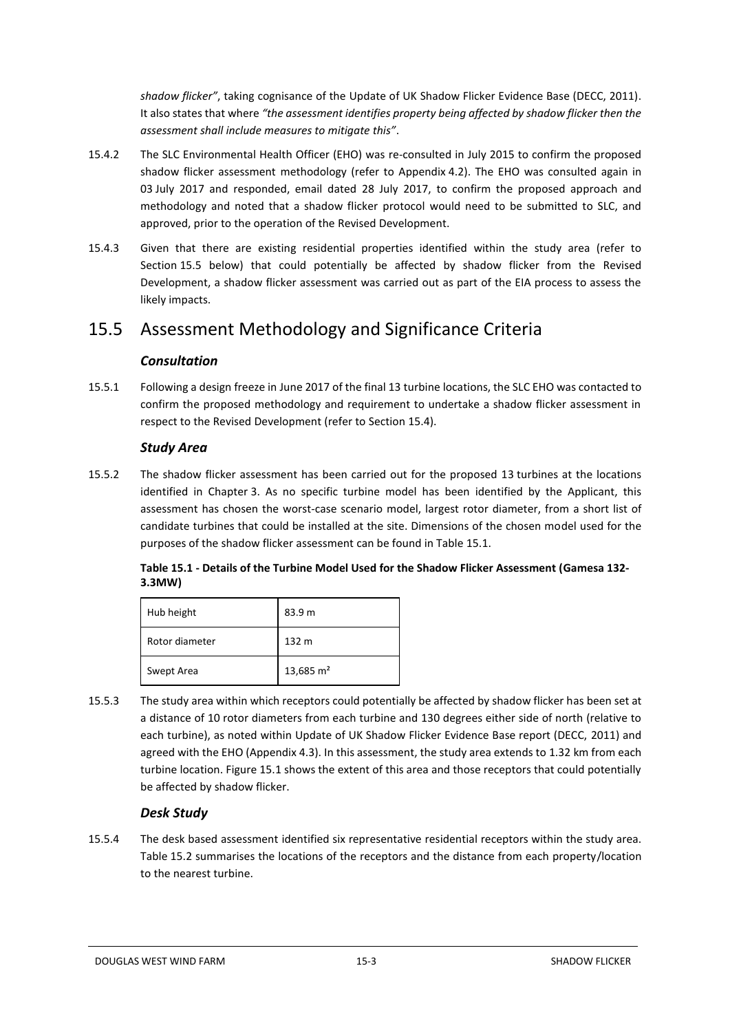*shadow flicker"*, taking cognisance of the Update of UK Shadow Flicker Evidence Base (DECC, 2011). It also states that where *"the assessment identifies property being affected by shadow flicker then the assessment shall include measures to mitigate this"*.

- 15.4.2 The SLC Environmental Health Officer (EHO) was re-consulted in July 2015 to confirm the proposed shadow flicker assessment methodology (refer to Appendix 4.2). The EHO was consulted again in 03 July 2017 and responded, email dated 28 July 2017, to confirm the proposed approach and methodology and noted that a shadow flicker protocol would need to be submitted to SLC, and approved, prior to the operation of the Revised Development.
- 15.4.3 Given that there are existing residential properties identified within the study area (refer to Section 15.5 below) that could potentially be affected by shadow flicker from the Revised Development, a shadow flicker assessment was carried out as part of the EIA process to assess the likely impacts.

# <span id="page-4-0"></span>15.5 Assessment Methodology and Significance Criteria

### *Consultation*

15.5.1 Following a design freeze in June 2017 of the final 13 turbine locations, the SLC EHO was contacted to confirm the proposed methodology and requirement to undertake a shadow flicker assessment in respect to the Revised Development (refer to Section 15.4).

### *Study Area*

15.5.2 The shadow flicker assessment has been carried out for the proposed 13 turbines at the locations identified in Chapter 3. As no specific turbine model has been identified by the Applicant, this assessment has chosen the worst-case scenario model, largest rotor diameter, from a short list of candidate turbines that could be installed at the site. Dimensions of the chosen model used for the purposes of the shadow flicker assessment can be found in Table 15.1.

**Table 15.1 - Details of the Turbine Model Used for the Shadow Flicker Assessment (Gamesa 132- 3.3MW)**

| Hub height     | 83.9 <sub>m</sub> |
|----------------|-------------------|
| Rotor diameter | 132 m             |
| Swept Area     | 13,685 $m2$       |

15.5.3 The study area within which receptors could potentially be affected by shadow flicker has been set at a distance of 10 rotor diameters from each turbine and 130 degrees either side of north (relative to each turbine), as noted within Update of UK Shadow Flicker Evidence Base report (DECC, 2011) and agreed with the EHO (Appendix 4.3). In this assessment, the study area extends to 1.32 km from each turbine location. Figure 15.1 shows the extent of this area and those receptors that could potentially be affected by shadow flicker.

### *Desk Study*

15.5.4 The desk based assessment identified six representative residential receptors within the study area. Table 15.2 summarises the locations of the receptors and the distance from each property/location to the nearest turbine.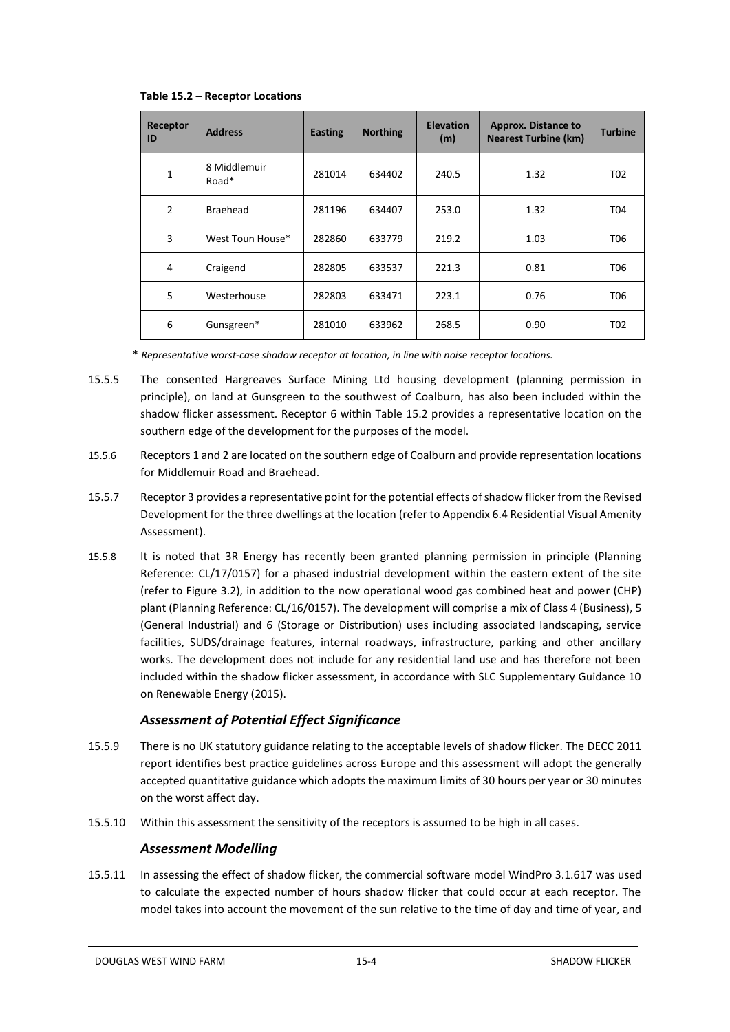| Receptor<br>ID | <b>Address</b>        | <b>Easting</b> | <b>Northing</b> | <b>Elevation</b><br>(m) | <b>Approx. Distance to</b><br><b>Nearest Turbine (km)</b> | <b>Turbine</b>   |
|----------------|-----------------------|----------------|-----------------|-------------------------|-----------------------------------------------------------|------------------|
| $\mathbf 1$    | 8 Middlemuir<br>Road* | 281014         | 634402          | 240.5                   | 1.32                                                      | T <sub>0</sub> 2 |
| $\overline{2}$ | Braehead              | 281196         | 634407          | 253.0                   | 1.32                                                      | T04              |
| 3              | West Toun House*      | 282860         | 633779          | 219.2                   | 1.03                                                      | T06              |
| 4              | Craigend              | 282805         | 633537          | 221.3                   | 0.81                                                      | T06              |
| 5              | Westerhouse           | 282803         | 633471          | 223.1                   | 0.76                                                      | T06              |
| 6              | Gunsgreen*            | 281010         | 633962          | 268.5                   | 0.90                                                      | T <sub>0</sub> 2 |

**Table 15.2 – Receptor Locations**

\* *Representative worst-case shadow receptor at location, in line with noise receptor locations.*

- 15.5.5 The consented Hargreaves Surface Mining Ltd housing development (planning permission in principle), on land at Gunsgreen to the southwest of Coalburn, has also been included within the shadow flicker assessment. Receptor 6 within Table 15.2 provides a representative location on the southern edge of the development for the purposes of the model.
- 15.5.6 Receptors 1 and 2 are located on the southern edge of Coalburn and provide representation locations for Middlemuir Road and Braehead.
- 15.5.7 Receptor 3 provides a representative point for the potential effects of shadow flicker from the Revised Development for the three dwellings at the location (refer to Appendix 6.4 Residential Visual Amenity Assessment).
- 15.5.8 It is noted that 3R Energy has recently been granted planning permission in principle (Planning Reference: CL/17/0157) for a phased industrial development within the eastern extent of the site (refer to Figure 3.2), in addition to the now operational wood gas combined heat and power (CHP) plant (Planning Reference: CL/16/0157). The development will comprise a mix of Class 4 (Business), 5 (General Industrial) and 6 (Storage or Distribution) uses including associated landscaping, service facilities, SUDS/drainage features, internal roadways, infrastructure, parking and other ancillary works. The development does not include for any residential land use and has therefore not been included within the shadow flicker assessment, in accordance with SLC Supplementary Guidance 10 on Renewable Energy (2015).

### *Assessment of Potential Effect Significance*

- 15.5.9 There is no UK statutory guidance relating to the acceptable levels of shadow flicker. The DECC 2011 report identifies best practice guidelines across Europe and this assessment will adopt the generally accepted quantitative guidance which adopts the maximum limits of 30 hours per year or 30 minutes on the worst affect day.
- 15.5.10 Within this assessment the sensitivity of the receptors is assumed to be high in all cases.

#### *Assessment Modelling*

15.5.11 In assessing the effect of shadow flicker, the commercial software model WindPro 3.1.617 was used to calculate the expected number of hours shadow flicker that could occur at each receptor. The model takes into account the movement of the sun relative to the time of day and time of year, and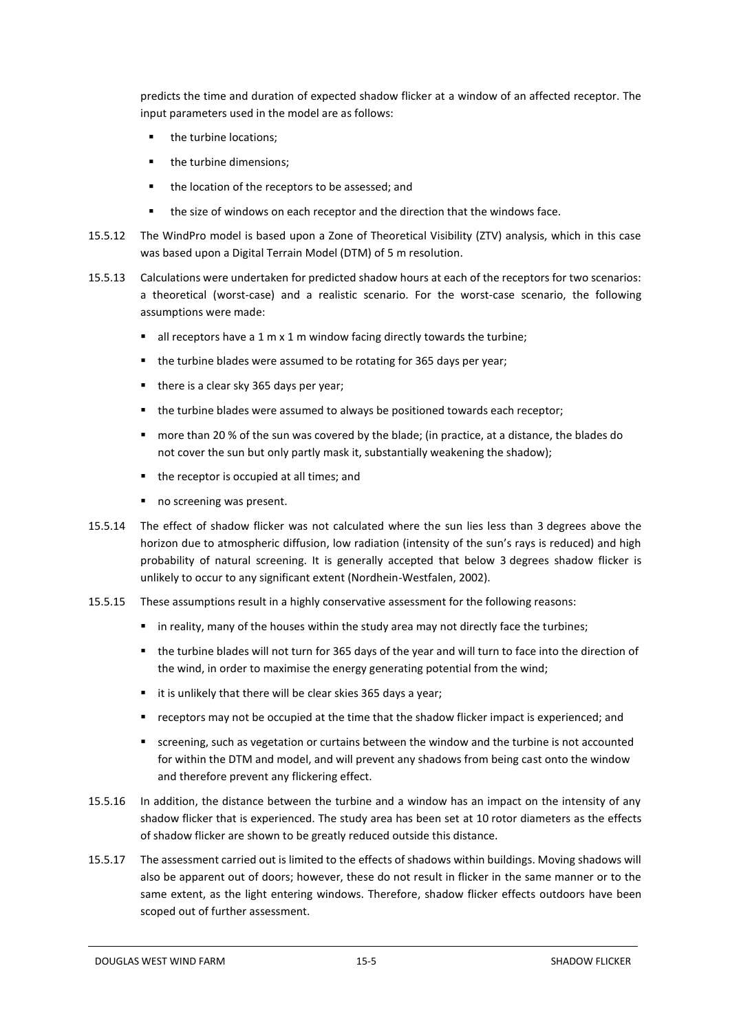predicts the time and duration of expected shadow flicker at a window of an affected receptor. The input parameters used in the model are as follows:

- the turbine locations;
- the turbine dimensions;
- the location of the receptors to be assessed; and
- the size of windows on each receptor and the direction that the windows face.
- 15.5.12 The WindPro model is based upon a Zone of Theoretical Visibility (ZTV) analysis, which in this case was based upon a Digital Terrain Model (DTM) of 5 m resolution.
- 15.5.13 Calculations were undertaken for predicted shadow hours at each of the receptors for two scenarios: a theoretical (worst-case) and a realistic scenario. For the worst-case scenario, the following assumptions were made:
	- all receptors have a 1 m x 1 m window facing directly towards the turbine;
	- the turbine blades were assumed to be rotating for 365 days per year;
	- there is a clear sky 365 days per year;
	- the turbine blades were assumed to always be positioned towards each receptor;
	- more than 20 % of the sun was covered by the blade; (in practice, at a distance, the blades do not cover the sun but only partly mask it, substantially weakening the shadow);
	- the receptor is occupied at all times; and
	- no screening was present.
- 15.5.14 The effect of shadow flicker was not calculated where the sun lies less than 3 degrees above the horizon due to atmospheric diffusion, low radiation (intensity of the sun's rays is reduced) and high probability of natural screening. It is generally accepted that below 3 degrees shadow flicker is unlikely to occur to any significant extent (Nordhein-Westfalen, 2002).
- 15.5.15 These assumptions result in a highly conservative assessment for the following reasons:
	- in reality, many of the houses within the study area may not directly face the turbines;
	- the turbine blades will not turn for 365 days of the year and will turn to face into the direction of the wind, in order to maximise the energy generating potential from the wind;
	- $\blacksquare$  it is unlikely that there will be clear skies 365 days a year;
	- receptors may not be occupied at the time that the shadow flicker impact is experienced; and
	- screening, such as vegetation or curtains between the window and the turbine is not accounted for within the DTM and model, and will prevent any shadows from being cast onto the window and therefore prevent any flickering effect.
- 15.5.16 In addition, the distance between the turbine and a window has an impact on the intensity of any shadow flicker that is experienced. The study area has been set at 10 rotor diameters as the effects of shadow flicker are shown to be greatly reduced outside this distance.
- 15.5.17 The assessment carried out is limited to the effects of shadows within buildings. Moving shadows will also be apparent out of doors; however, these do not result in flicker in the same manner or to the same extent, as the light entering windows. Therefore, shadow flicker effects outdoors have been scoped out of further assessment.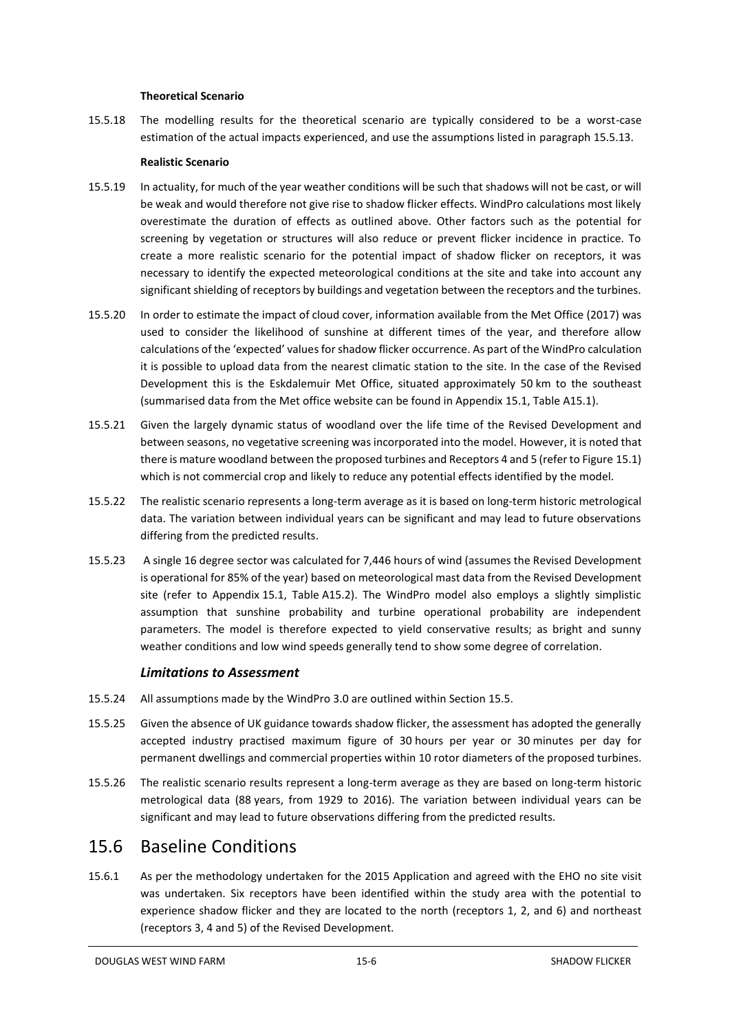#### **Theoretical Scenario**

15.5.18 The modelling results for the theoretical scenario are typically considered to be a worst-case estimation of the actual impacts experienced, and use the assumptions listed in paragraph 15.5.13.

#### **Realistic Scenario**

- 15.5.19 In actuality, for much of the year weather conditions will be such that shadows will not be cast, or will be weak and would therefore not give rise to shadow flicker effects. WindPro calculations most likely overestimate the duration of effects as outlined above. Other factors such as the potential for screening by vegetation or structures will also reduce or prevent flicker incidence in practice. To create a more realistic scenario for the potential impact of shadow flicker on receptors, it was necessary to identify the expected meteorological conditions at the site and take into account any significant shielding of receptors by buildings and vegetation between the receptors and the turbines.
- 15.5.20 In order to estimate the impact of cloud cover, information available from the Met Office (2017) was used to consider the likelihood of sunshine at different times of the year, and therefore allow calculations of the 'expected' values for shadow flicker occurrence. As part of the WindPro calculation it is possible to upload data from the nearest climatic station to the site. In the case of the Revised Development this is the Eskdalemuir Met Office, situated approximately 50 km to the southeast (summarised data from the Met office website can be found in Appendix 15.1, Table A15.1).
- 15.5.21 Given the largely dynamic status of woodland over the life time of the Revised Development and between seasons, no vegetative screening was incorporated into the model. However, it is noted that there is mature woodland between the proposed turbines and Receptors 4 and 5 (refer to Figure 15.1) which is not commercial crop and likely to reduce any potential effects identified by the model.
- 15.5.22 The realistic scenario represents a long-term average as it is based on long-term historic metrological data. The variation between individual years can be significant and may lead to future observations differing from the predicted results.
- 15.5.23 A single 16 degree sector was calculated for 7,446 hours of wind (assumes the Revised Development is operational for 85% of the year) based on meteorological mast data from the Revised Development site (refer to Appendix 15.1, Table A15.2). The WindPro model also employs a slightly simplistic assumption that sunshine probability and turbine operational probability are independent parameters. The model is therefore expected to yield conservative results; as bright and sunny weather conditions and low wind speeds generally tend to show some degree of correlation.

#### *Limitations to Assessment*

- 15.5.24 All assumptions made by the WindPro 3.0 are outlined within Section 15.5.
- 15.5.25 Given the absence of UK guidance towards shadow flicker, the assessment has adopted the generally accepted industry practised maximum figure of 30 hours per year or 30 minutes per day for permanent dwellings and commercial properties within 10 rotor diameters of the proposed turbines.
- 15.5.26 The realistic scenario results represent a long-term average as they are based on long-term historic metrological data (88 years, from 1929 to 2016). The variation between individual years can be significant and may lead to future observations differing from the predicted results.

# <span id="page-7-0"></span>15.6 Baseline Conditions

15.6.1 As per the methodology undertaken for the 2015 Application and agreed with the EHO no site visit was undertaken. Six receptors have been identified within the study area with the potential to experience shadow flicker and they are located to the north (receptors 1, 2, and 6) and northeast (receptors 3, 4 and 5) of the Revised Development.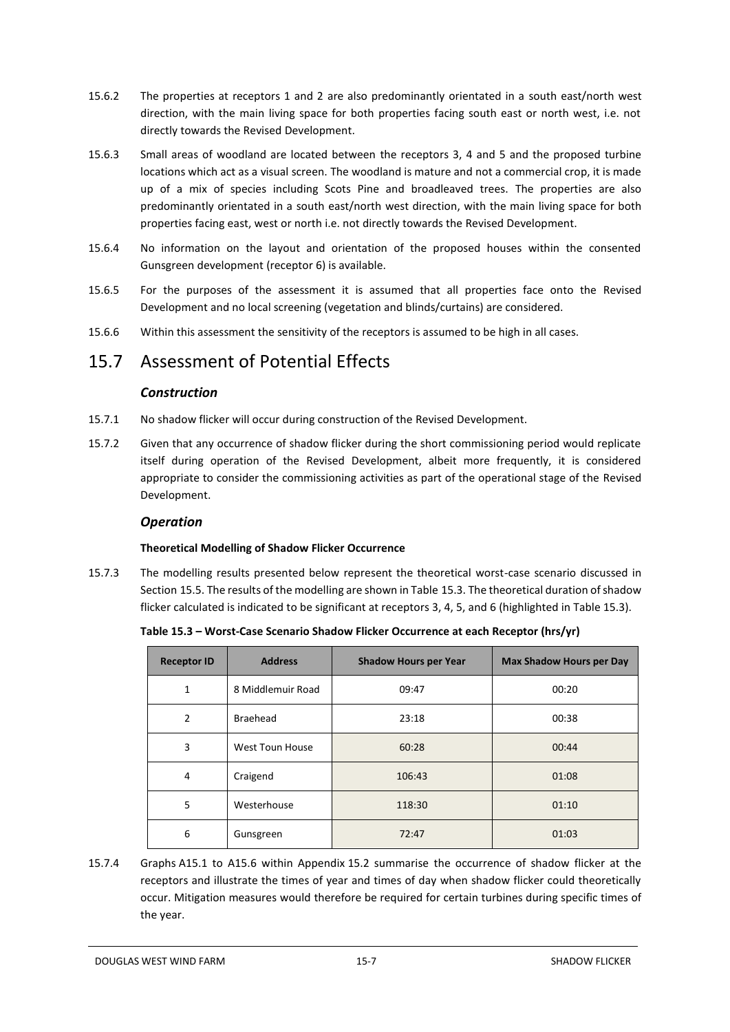- 15.6.2 The properties at receptors 1 and 2 are also predominantly orientated in a south east/north west direction, with the main living space for both properties facing south east or north west, i.e. not directly towards the Revised Development.
- 15.6.3 Small areas of woodland are located between the receptors 3, 4 and 5 and the proposed turbine locations which act as a visual screen. The woodland is mature and not a commercial crop, it is made up of a mix of species including Scots Pine and broadleaved trees. The properties are also predominantly orientated in a south east/north west direction, with the main living space for both properties facing east, west or north i.e. not directly towards the Revised Development.
- 15.6.4 No information on the layout and orientation of the proposed houses within the consented Gunsgreen development (receptor 6) is available.
- 15.6.5 For the purposes of the assessment it is assumed that all properties face onto the Revised Development and no local screening (vegetation and blinds/curtains) are considered.
- 15.6.6 Within this assessment the sensitivity of the receptors is assumed to be high in all cases.

# <span id="page-8-0"></span>15.7 Assessment of Potential Effects

#### *Construction*

- 15.7.1 No shadow flicker will occur during construction of the Revised Development.
- 15.7.2 Given that any occurrence of shadow flicker during the short commissioning period would replicate itself during operation of the Revised Development, albeit more frequently, it is considered appropriate to consider the commissioning activities as part of the operational stage of the Revised Development.

#### *Operation*

#### **Theoretical Modelling of Shadow Flicker Occurrence**

15.7.3 The modelling results presented below represent the theoretical worst-case scenario discussed in Section 15.5. The results of the modelling are shown in Table 15.3. The theoretical duration of shadow flicker calculated is indicated to be significant at receptors 3, 4, 5, and 6 (highlighted in Table 15.3).

**Table 15.3 – Worst-Case Scenario Shadow Flicker Occurrence at each Receptor (hrs/yr)**

| <b>Receptor ID</b> | <b>Address</b>    | <b>Shadow Hours per Year</b> | <b>Max Shadow Hours per Day</b> |
|--------------------|-------------------|------------------------------|---------------------------------|
| 1                  | 8 Middlemuir Road | 09:47                        | 00:20                           |
| $\overline{2}$     | Braehead          | 23:18                        | 00:38                           |
| 3                  | West Toun House   | 60:28                        | 00:44                           |
| 4                  | Craigend          | 106:43                       | 01:08                           |
| 5                  | Westerhouse       | 118:30                       | 01:10                           |
| 6                  | Gunsgreen         | 72:47                        | 01:03                           |

15.7.4 Graphs A15.1 to A15.6 within Appendix 15.2 summarise the occurrence of shadow flicker at the receptors and illustrate the times of year and times of day when shadow flicker could theoretically occur. Mitigation measures would therefore be required for certain turbines during specific times of the year.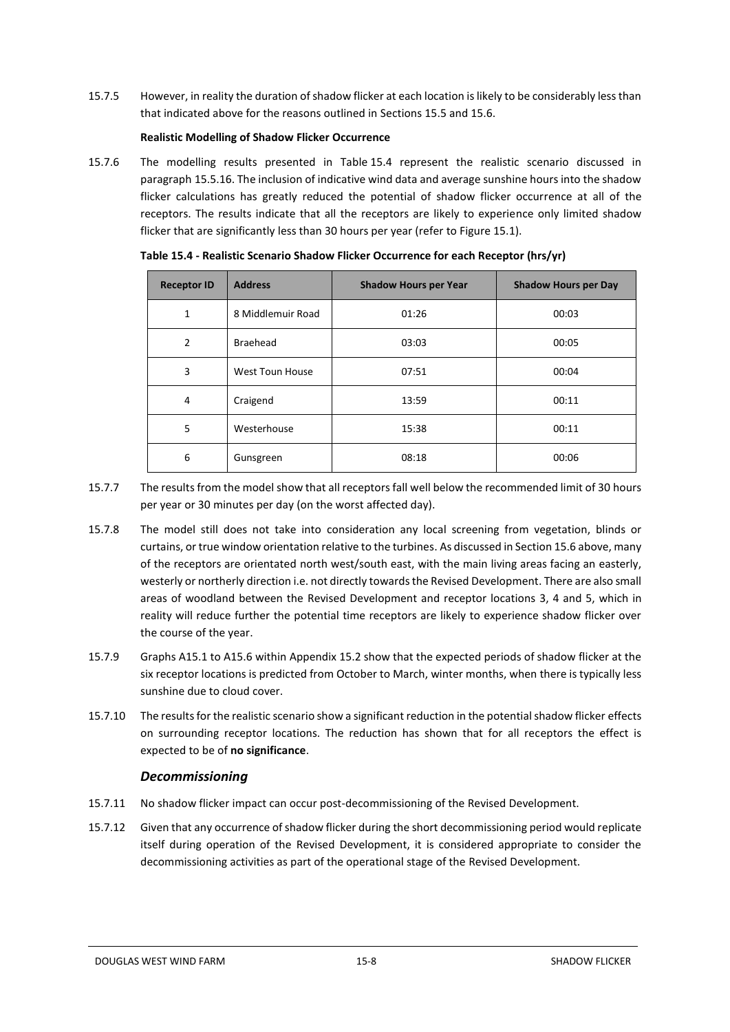15.7.5 However, in reality the duration of shadow flicker at each location is likely to be considerably less than that indicated above for the reasons outlined in Sections 15.5 and 15.6.

#### **Realistic Modelling of Shadow Flicker Occurrence**

15.7.6 The modelling results presented in Table 15.4 represent the realistic scenario discussed in paragraph 15.5.16. The inclusion of indicative wind data and average sunshine hours into the shadow flicker calculations has greatly reduced the potential of shadow flicker occurrence at all of the receptors. The results indicate that all the receptors are likely to experience only limited shadow flicker that are significantly less than 30 hours per year (refer to Figure 15.1).

| <b>Receptor ID</b> | <b>Address</b>         | <b>Shadow Hours per Year</b> | <b>Shadow Hours per Day</b> |
|--------------------|------------------------|------------------------------|-----------------------------|
| 1                  | 8 Middlemuir Road      | 01:26                        | 00:03                       |
| 2                  | <b>Braehead</b>        | 03:03                        | 00:05                       |
| 3                  | <b>West Toun House</b> | 07:51                        | 00:04                       |
| 4                  | Craigend               | 13:59                        | 00:11                       |
| 5                  | Westerhouse            | 15:38                        | 00:11                       |
| 6                  | Gunsgreen              | 08:18                        | 00:06                       |

**Table 15.4 - Realistic Scenario Shadow Flicker Occurrence for each Receptor (hrs/yr)**

- 15.7.7 The results from the model show that all receptors fall well below the recommended limit of 30 hours per year or 30 minutes per day (on the worst affected day).
- 15.7.8 The model still does not take into consideration any local screening from vegetation, blinds or curtains, or true window orientation relative to the turbines. As discussed in Section 15.6 above, many of the receptors are orientated north west/south east, with the main living areas facing an easterly, westerly or northerly direction i.e. not directly towards the Revised Development. There are also small areas of woodland between the Revised Development and receptor locations 3, 4 and 5, which in reality will reduce further the potential time receptors are likely to experience shadow flicker over the course of the year.
- 15.7.9 Graphs A15.1 to A15.6 within Appendix 15.2 show that the expected periods of shadow flicker at the six receptor locations is predicted from October to March, winter months, when there is typically less sunshine due to cloud cover.
- 15.7.10 The results for the realistic scenario show a significant reduction in the potential shadow flicker effects on surrounding receptor locations. The reduction has shown that for all receptors the effect is expected to be of **no significance**.

#### *Decommissioning*

- 15.7.11 No shadow flicker impact can occur post-decommissioning of the Revised Development.
- 15.7.12 Given that any occurrence of shadow flicker during the short decommissioning period would replicate itself during operation of the Revised Development, it is considered appropriate to consider the decommissioning activities as part of the operational stage of the Revised Development.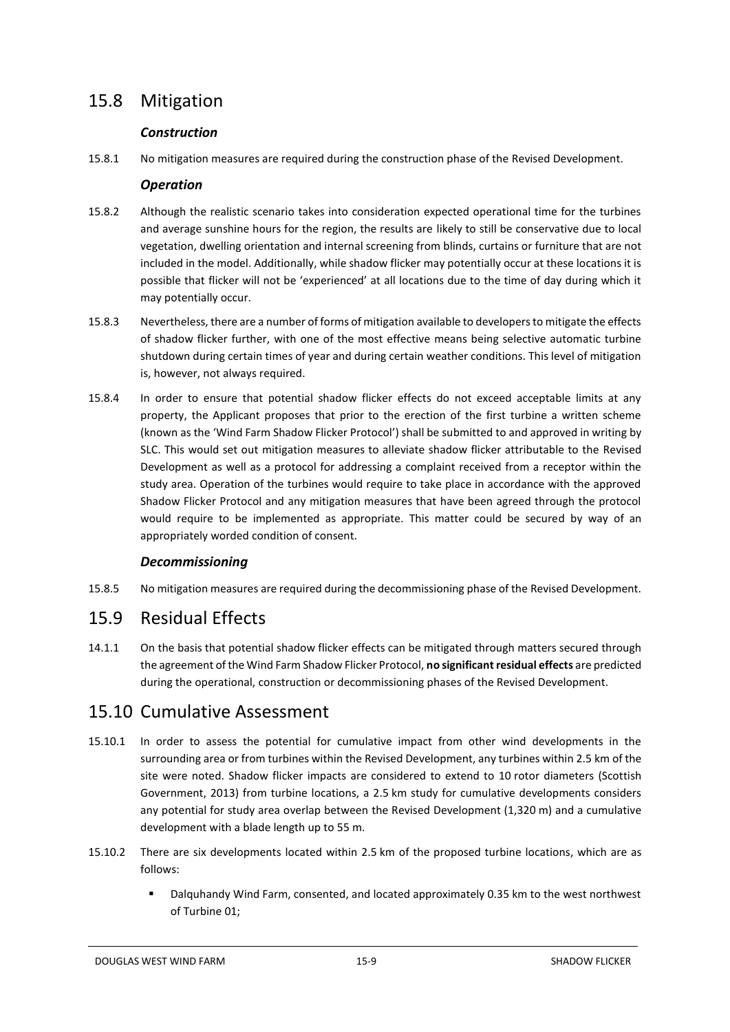# <span id="page-10-0"></span>15.8 Mitigation

#### *Construction*

15.8.1 No mitigation measures are required during the construction phase of the Revised Development.

#### *Operation*

- 15.8.2 Although the realistic scenario takes into consideration expected operational time for the turbines and average sunshine hours for the region, the results are likely to still be conservative due to local vegetation, dwelling orientation and internal screening from blinds, curtains or furniture that are not included in the model. Additionally, while shadow flicker may potentially occur at these locations it is possible that flicker will not be 'experienced' at all locations due to the time of day during which it may potentially occur.
- 15.8.3 Nevertheless, there are a number of forms of mitigation available to developers to mitigate the effects of shadow flicker further, with one of the most effective means being selective automatic turbine shutdown during certain times of year and during certain weather conditions. This level of mitigation is, however, not always required.
- 15.8.4 In order to ensure that potential shadow flicker effects do not exceed acceptable limits at any property, the Applicant proposes that prior to the erection of the first turbine a written scheme (known as the 'Wind Farm Shadow Flicker Protocol') shall be submitted to and approved in writing by SLC. This would set out mitigation measures to alleviate shadow flicker attributable to the Revised Development as well as a protocol for addressing a complaint received from a receptor within the study area. Operation of the turbines would require to take place in accordance with the approved Shadow Flicker Protocol and any mitigation measures that have been agreed through the protocol would require to be implemented as appropriate. This matter could be secured by way of an appropriately worded condition of consent.

### *Decommissioning*

15.8.5 No mitigation measures are required during the decommissioning phase of the Revised Development.

# <span id="page-10-1"></span>15.9 Residual Effects

14.1.1 On the basis that potential shadow flicker effects can be mitigated through matters secured through the agreement of the Wind Farm Shadow Flicker Protocol, **no significantresidual effects** are predicted during the operational, construction or decommissioning phases of the Revised Development.

# <span id="page-10-2"></span>15.10 Cumulative Assessment

- 15.10.1 In order to assess the potential for cumulative impact from other wind developments in the surrounding area or from turbines within the Revised Development, any turbines within 2.5 km of the site were noted. Shadow flicker impacts are considered to extend to 10 rotor diameters (Scottish Government, 2013) from turbine locations, a 2.5 km study for cumulative developments considers any potential for study area overlap between the Revised Development (1,320 m) and a cumulative development with a blade length up to 55 m.
- 15.10.2 There are six developments located within 2.5 km of the proposed turbine locations, which are as follows:
	- Dalquhandy Wind Farm, consented, and located approximately 0.35 km to the west northwest of Turbine 01;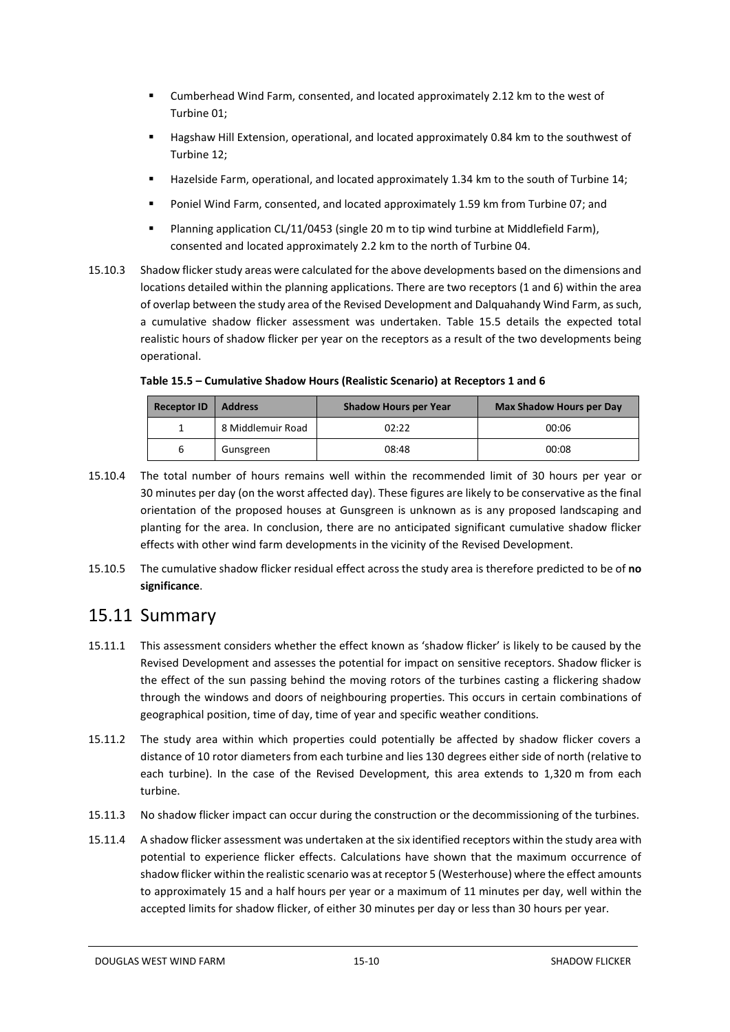- Cumberhead Wind Farm, consented, and located approximately 2.12 km to the west of Turbine 01;
- Hagshaw Hill Extension, operational, and located approximately 0.84 km to the southwest of Turbine 12;
- Hazelside Farm, operational, and located approximately 1.34 km to the south of Turbine 14;
- Poniel Wind Farm, consented, and located approximately 1.59 km from Turbine 07; and
- Planning application CL/11/0453 (single 20 m to tip wind turbine at Middlefield Farm), consented and located approximately 2.2 km to the north of Turbine 04.
- 15.10.3 Shadow flicker study areas were calculated for the above developments based on the dimensions and locations detailed within the planning applications. There are two receptors (1 and 6) within the area of overlap between the study area of the Revised Development and Dalquahandy Wind Farm, as such, a cumulative shadow flicker assessment was undertaken. Table 15.5 details the expected total realistic hours of shadow flicker per year on the receptors as a result of the two developments being operational.

**Table 15.5 – Cumulative Shadow Hours (Realistic Scenario) at Receptors 1 and 6**

| <b>Receptor ID</b> | <b>Address</b>    | <b>Shadow Hours per Year</b> | <b>Max Shadow Hours per Day</b> |  |  |
|--------------------|-------------------|------------------------------|---------------------------------|--|--|
|                    | 8 Middlemuir Road | 02:22                        | 00:06                           |  |  |
| ь                  | Gunsgreen         | 08:48                        | 00:08                           |  |  |

- 15.10.4 The total number of hours remains well within the recommended limit of 30 hours per year or 30 minutes per day (on the worst affected day). These figures are likely to be conservative as the final orientation of the proposed houses at Gunsgreen is unknown as is any proposed landscaping and planting for the area. In conclusion, there are no anticipated significant cumulative shadow flicker effects with other wind farm developments in the vicinity of the Revised Development.
- 15.10.5 The cumulative shadow flicker residual effect across the study area is therefore predicted to be of **no significance**.

## <span id="page-11-0"></span>15.11 Summary

- 15.11.1 This assessment considers whether the effect known as 'shadow flicker' is likely to be caused by the Revised Development and assesses the potential for impact on sensitive receptors. Shadow flicker is the effect of the sun passing behind the moving rotors of the turbines casting a flickering shadow through the windows and doors of neighbouring properties. This occurs in certain combinations of geographical position, time of day, time of year and specific weather conditions.
- 15.11.2 The study area within which properties could potentially be affected by shadow flicker covers a distance of 10 rotor diameters from each turbine and lies 130 degrees either side of north (relative to each turbine). In the case of the Revised Development, this area extends to 1,320 m from each turbine.
- 15.11.3 No shadow flicker impact can occur during the construction or the decommissioning of the turbines.
- 15.11.4 A shadow flicker assessment was undertaken at the six identified receptors within the study area with potential to experience flicker effects. Calculations have shown that the maximum occurrence of shadow flicker within the realistic scenario was at receptor 5 (Westerhouse) where the effect amounts to approximately 15 and a half hours per year or a maximum of 11 minutes per day, well within the accepted limits for shadow flicker, of either 30 minutes per day or less than 30 hours per year.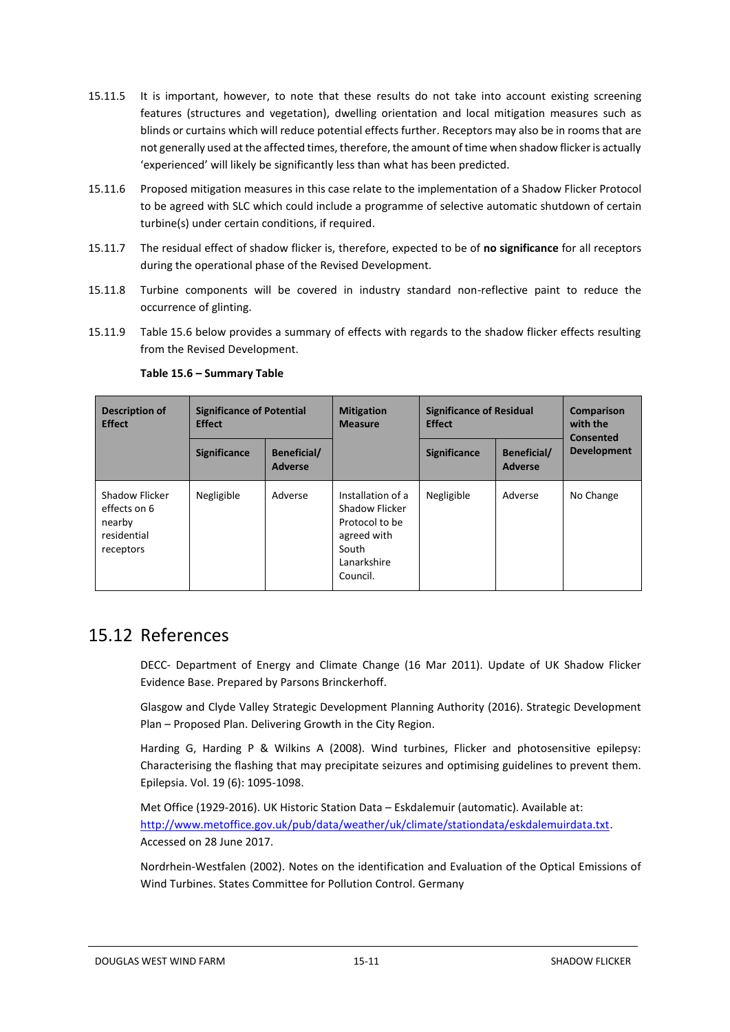- 15.11.5 It is important, however, to note that these results do not take into account existing screening features (structures and vegetation), dwelling orientation and local mitigation measures such as blinds or curtains which will reduce potential effects further. Receptors may also be in rooms that are not generally used at the affected times, therefore, the amount of time when shadow flicker is actually 'experienced' will likely be significantly less than what has been predicted.
- 15.11.6 Proposed mitigation measures in this case relate to the implementation of a Shadow Flicker Protocol to be agreed with SLC which could include a programme of selective automatic shutdown of certain turbine(s) under certain conditions, if required.
- 15.11.7 The residual effect of shadow flicker is, therefore, expected to be of **no significance** for all receptors during the operational phase of the Revised Development.
- 15.11.8 Turbine components will be covered in industry standard non-reflective paint to reduce the occurrence of glinting.
- 15.11.9 Table 15.6 below provides a summary of effects with regards to the shadow flicker effects resulting from the Revised Development.

| <b>Description of</b><br><b>Effect</b>                               | <b>Significance of Potential</b><br><b>Effect</b> |                               | <b>Mitigation</b><br><b>Measure</b>                                                                      | <b>Significance of Residual</b><br><b>Effect</b> |                               | <b>Comparison</b><br>with the<br>Consented |
|----------------------------------------------------------------------|---------------------------------------------------|-------------------------------|----------------------------------------------------------------------------------------------------------|--------------------------------------------------|-------------------------------|--------------------------------------------|
|                                                                      | <b>Significance</b>                               | Beneficial/<br><b>Adverse</b> |                                                                                                          | <b>Significance</b>                              | Beneficial/<br><b>Adverse</b> | <b>Development</b>                         |
| Shadow Flicker<br>effects on 6<br>nearby<br>residential<br>receptors | Negligible                                        | Adverse                       | Installation of a<br>Shadow Flicker<br>Protocol to be<br>agreed with<br>South<br>Lanarkshire<br>Council. | Negligible                                       | Adverse                       | No Change                                  |

#### **Table 15.6 – Summary Table**

# <span id="page-12-0"></span>15.12 References

DECC- Department of Energy and Climate Change (16 Mar 2011). Update of UK Shadow Flicker Evidence Base. Prepared by Parsons Brinckerhoff.

Glasgow and Clyde Valley Strategic Development Planning Authority (2016). Strategic Development Plan – Proposed Plan. Delivering Growth in the City Region.

Harding G, Harding P & Wilkins A (2008). Wind turbines, Flicker and photosensitive epilepsy: Characterising the flashing that may precipitate seizures and optimising guidelines to prevent them. Epilepsia. Vol. 19 (6): 1095-1098.

Met Office (1929-2016). UK Historic Station Data – Eskdalemuir (automatic). Available at: [http://www.metoffice.gov.uk/pub/data/weather/uk/climate/stationdata/eskdalemuirdata.txt.](http://www.metoffice.gov.uk/pub/data/weather/uk/climate/stationdata/eskdalemuirdata.txt) Accessed on 28 June 2017.

Nordrhein-Westfalen (2002). Notes on the identification and Evaluation of the Optical Emissions of Wind Turbines. States Committee for Pollution Control. Germany